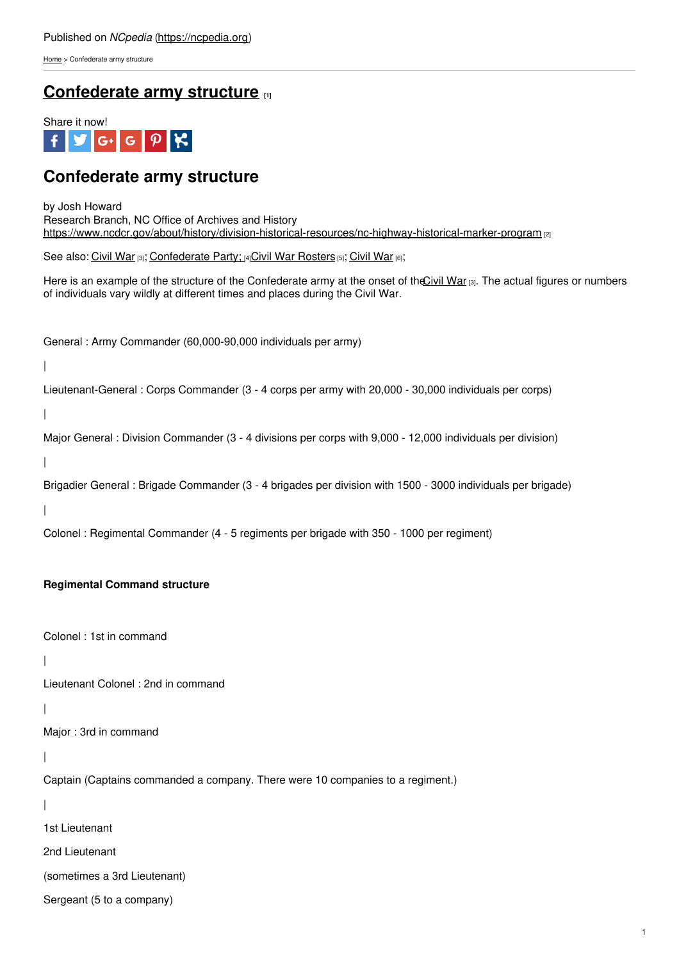[Home](https://ncpedia.org/) > Confederate army structure

## **[Confederate](https://ncpedia.org/history/cw-1900/confederate-army-structure) army structure [1]**



# **Confederate army structure**

by Josh Howard Research Branch, NC Office of Archives and History <https://www.ncdcr.gov/about/history/division-historical-resources/nc-highway-historical-marker-program> [2]

See also: [Civil](https://ncpedia.org/history/cw-1900/civil-war) War [3]; [Confederate](https://ncpedia.org/confederate-party) Party; [4]Civil War [Rosters](https://ncpedia.org/civil-war-rosters) [5]; Civil War [6];

Here is an example of the structure of the Confederate army at the onset of the Civil War [3]. The actual figures or numbers of individuals vary wildly at different times and [places](http://www.social9.com) during the Civil War.

General : Army Commander (60,000-90,000 individuals per army)

|

Lieutenant-General : Corps Commander (3 - 4 corps per army with 20,000 - 30,000 individuals per corps)

|

Major General : Division Commander (3 - 4 divisions per corps with 9,000 - 12,000 individuals per division)

|

Brigadier General : Brigade Commander (3 - 4 brigades per division with 1500 - 3000 individuals per brigade)

|

Colonel : Regimental Commander (4 - 5 regiments per brigade with 350 - 1000 per regiment)

### **Regimental Command structure**

Colonel : 1st in command

|

Lieutenant Colonel : 2nd in command

|

Major : 3rd in command

|

Captain (Captains commanded a company. There were 10 companies to a regiment.)

|

1st Lieutenant

2nd Lieutenant

(sometimes a 3rd Lieutenant)

Sergeant (5 to a company)